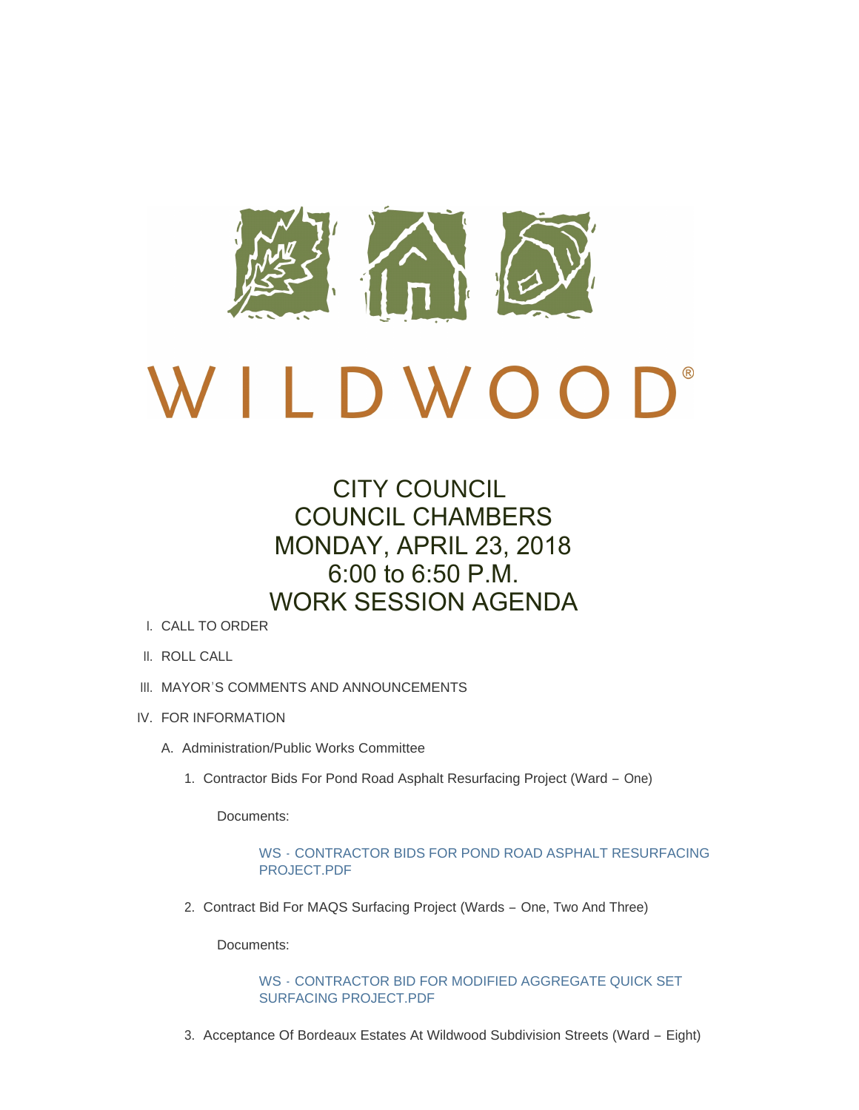

# CITY COUNCIL COUNCIL CHAMBERS MONDAY, APRIL 23, 2018 6:00 to 6:50 P.M. WORK SESSION AGENDA

- CALL TO ORDER I.
- II. ROLL CALL
- III. MAYOR'S COMMENTS AND ANNOUNCEMENTS
- IV. FOR INFORMATION
	- A. Administration/Public Works Committee
		- 1. Contractor Bids For Pond Road Asphalt Resurfacing Project (Ward One)

Documents:

WS - [CONTRACTOR BIDS FOR POND ROAD ASPHALT RESURFACING](http://www.cityofwildwood.com/AgendaCenter/ViewFile/Item/15151?fileID=20580)  PROJECT.PDF

2. Contract Bid For MAQS Surfacing Project (Wards - One, Two And Three)

Documents:

WS - [CONTRACTOR BID FOR MODIFIED AGGREGATE QUICK SET](http://www.cityofwildwood.com/AgendaCenter/ViewFile/Item/15152?fileID=20581)  SURFACING PROJECT.PDF

3. Acceptance Of Bordeaux Estates At Wildwood Subdivision Streets (Ward - Eight)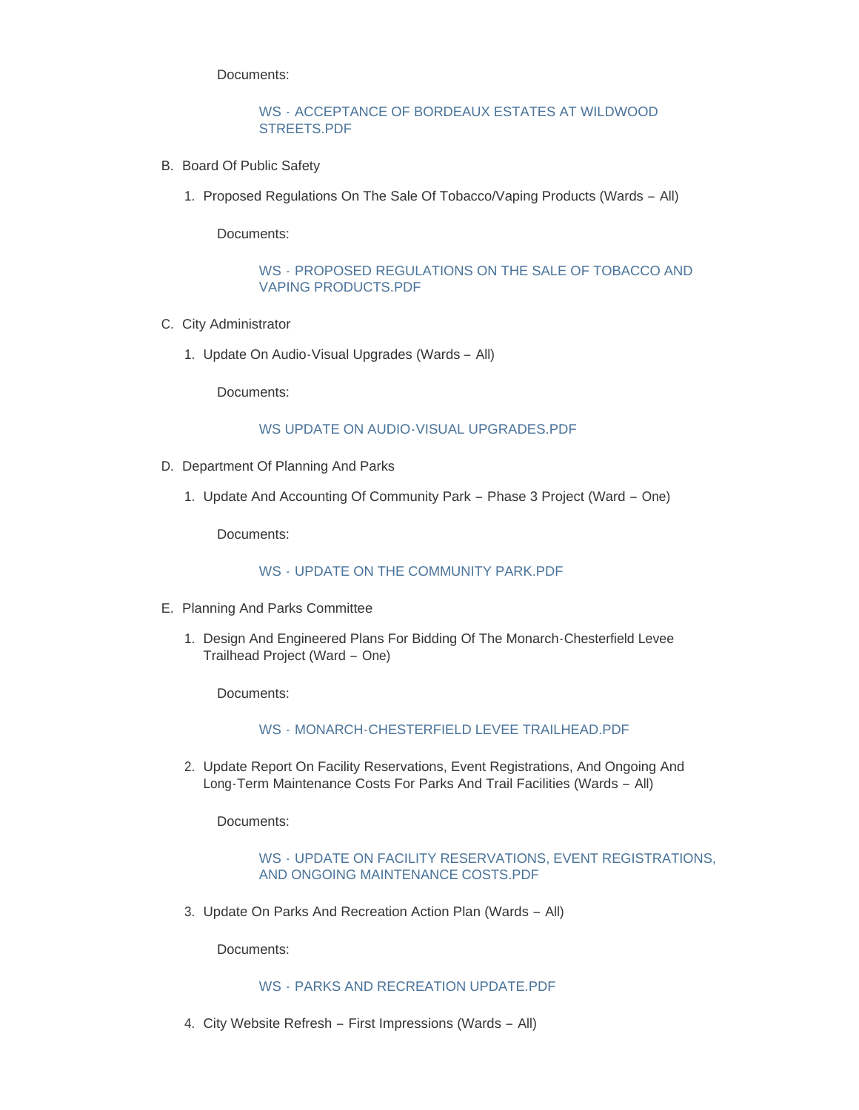Documents:

## WS - [ACCEPTANCE OF BORDEAUX ESTATES AT WILDWOOD](http://www.cityofwildwood.com/AgendaCenter/ViewFile/Item/15153?fileID=20582)  STREETS.PDF

- B. Board Of Public Safety
	- 1. Proposed Regulations On The Sale Of Tobacco/Vaping Products (Wards All)

Documents:

## WS - [PROPOSED REGULATIONS ON THE SALE OF TOBACCO AND](http://www.cityofwildwood.com/AgendaCenter/ViewFile/Item/15155?fileID=20583)  VAPING PRODUCTS.PDF

- C. City Administrator
	- 1. Update On Audio-Visual Upgrades (Wards All)

Documents:

#### [WS UPDATE ON AUDIO-VISUAL UPGRADES.PDF](http://www.cityofwildwood.com/AgendaCenter/ViewFile/Item/15157?fileID=20603)

- D. Department Of Planning And Parks
	- 1. Update And Accounting Of Community Park Phase 3 Project (Ward One)

Documents:

## WS - [UPDATE ON THE COMMUNITY PARK.PDF](http://www.cityofwildwood.com/AgendaCenter/ViewFile/Item/15159?fileID=20584)

- E. Planning And Parks Committee
	- 1. Design And Engineered Plans For Bidding Of The Monarch-Chesterfield Levee Trailhead Project (Ward – One)

Documents:

#### WS - [MONARCH-CHESTERFIELD LEVEE TRAILHEAD.PDF](http://www.cityofwildwood.com/AgendaCenter/ViewFile/Item/15161?fileID=20585)

2. Update Report On Facility Reservations, Event Registrations, And Ongoing And Long-Term Maintenance Costs For Parks And Trail Facilities (Wards – All)

Documents:

#### WS - [UPDATE ON FACILITY RESERVATIONS, EVENT REGISTRATIONS,](http://www.cityofwildwood.com/AgendaCenter/ViewFile/Item/15162?fileID=20586)  AND ONGOING MAINTENANCE COSTS.PDF

3. Update On Parks And Recreation Action Plan (Wards - All)

Documents:

## WS - [PARKS AND RECREATION UPDATE.PDF](http://www.cityofwildwood.com/AgendaCenter/ViewFile/Item/15163?fileID=20587)

City Website Refresh – First Impressions (Wards – All) 4.